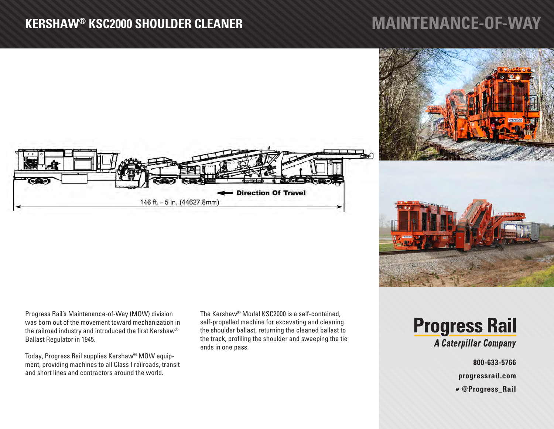## **KERSHAW® KSC2000 SHOULDER CLEANER**

## **MAINTENANCE-OF-WAY**





Progress Rail's Maintenance-of-Way (MOW) division was born out of the movement toward mechanization in the railroad industry and introduced the first Kershaw® Ballast Regulator in 1945.

Today, Progress Rail supplies Kershaw® MOW equipment, providing machines to all Class I railroads, transit and short lines and contractors around the world.

The Kershaw® Model KSC2000 is a self-contained, self-propelled machine for excavating and cleaning the shoulder ballast, returning the cleaned ballast to the track, profiling the shoulder and sweeping the tie ends in one pass.

**Progress Rail** A Caterpillar Company

**800-633-5766**

**progressrail.com**

 **@Progress\_Rail**